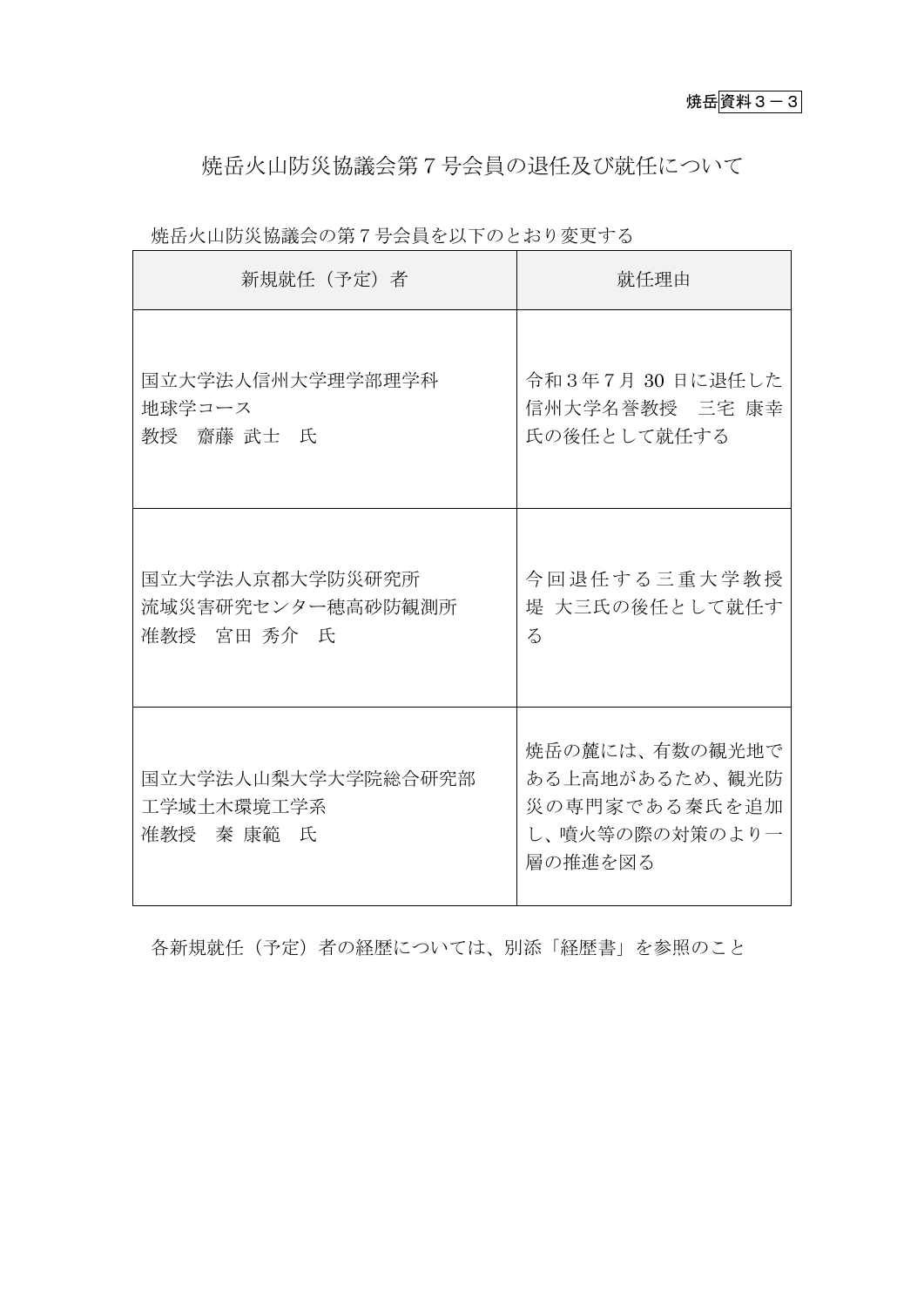焼岳火山防災協議会第7号会員の退任及び就任について

| 新規就任(予定)者                                         | 就任理由                                                                           |
|---------------------------------------------------|--------------------------------------------------------------------------------|
| 国立大学法人信州大学理学部理学科                                  | 令和3年7月30日に退任した                                                                 |
| 地球学コース                                            | 信州大学名誉教授 三宅 康幸                                                                 |
| 教授 齋藤 武士 氏                                        | 氏の後任として就任する                                                                    |
| 国立大学法人京都大学防災研究所                                   | 今回退任する三重大学教授                                                                   |
| 流域災害研究センター穂高砂防観測所                                 | 堤 大三氏の後任として就任す                                                                 |
| 准教授 宮田 秀介 氏                                       | $\zeta$                                                                        |
| 国立大学法人山梨大学大学院総合研究部<br>工学域土木環境工学系<br>准教授 秦 康範<br>氏 | 焼岳の麓には、有数の観光地で<br>ある上高地があるため、観光防<br>災の専門家である秦氏を追加<br>し、噴火等の際の対策のより一<br>層の推進を図る |

焼岳火山防災協議会の第7号会員を以下のとおり変更する

各新規就任(予定)者の経歴については、別添「経歴書」を参照のこと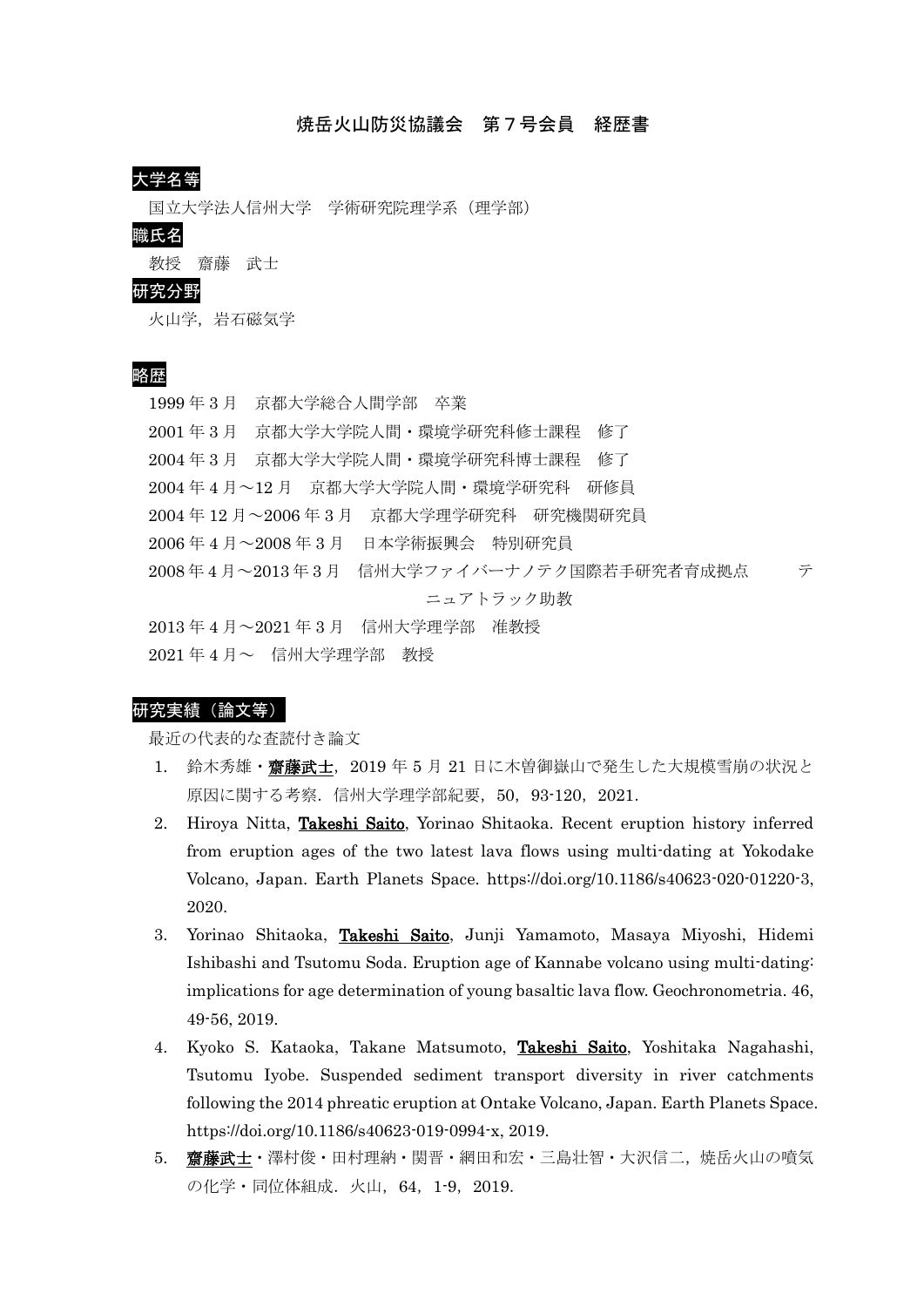### 焼岳火山防災協議会 第7号会員 経歴書

### 大学名等

国立大学法人信州大学 学術研究院理学系(理学部)

#### 職氏名

教授 齋藤 武士

### 研究分野

火山学,岩石磁気学

### 略歴

 年 3 月 京都大学総合人間学部 卒業 年 3 月 京都大学大学院人間・環境学研究科修士課程 修了 年 3 月 京都大学大学院人間・環境学研究科博士課程 修了 年 4 月~12 月 京都大学大学院人間・環境学研究科 研修員 年 12 月~2006 年 3 月 京都大学理学研究科 研究機関研究員 年 4 月~2008 年 3 月 日本学術振興会 特別研究員 2008年4月~2013年3月 信州大学ファイバーナノテク国際若手研究者育成拠点 テ ニュアトラック助教 年 4 月~2021 年 3 月 信州大学理学部 准教授

2021 年 4 月~ 信州大学理学部 教授

#### 研究実績(論文等)

最近の代表的な査読付き論文

- 1. 鈴木秀雄・齋藤武士,2019 年 5 月 21 日に木曽御嶽山で発生した大規模雪崩の状況と 原因に関する考察.信州大学理学部紀要,50,93-120,2021.
- 2. Hiroya Nitta, Takeshi Saito, Yorinao Shitaoka. Recent eruption history inferred from eruption ages of the two latest lava flows using multi-dating at Yokodake Volcano, Japan. Earth Planets Space. https://doi.org/10.1186/s40623-020-01220-3, 2020.
- 3. Yorinao Shitaoka, Takeshi Saito, Junji Yamamoto, Masaya Miyoshi, Hidemi Ishibashi and Tsutomu Soda. Eruption age of Kannabe volcano using multi-dating: implications for age determination of young basaltic lava flow. Geochronometria. 46, 49-56, 2019.
- 4. Kyoko S. Kataoka, Takane Matsumoto, Takeshi Saito, Yoshitaka Nagahashi, Tsutomu Iyobe. Suspended sediment transport diversity in river catchments following the 2014 phreatic eruption at Ontake Volcano, Japan. Earth Planets Space. https://doi.org/10.1186/s40623-019-0994-x, 2019.
- 5. 齋藤武士・澤村俊・田村理納・関晋・網田和宏・三島壮智・大沢信二,焼岳火山の噴気 の化学・同位体組成.火山,64,1-9,2019.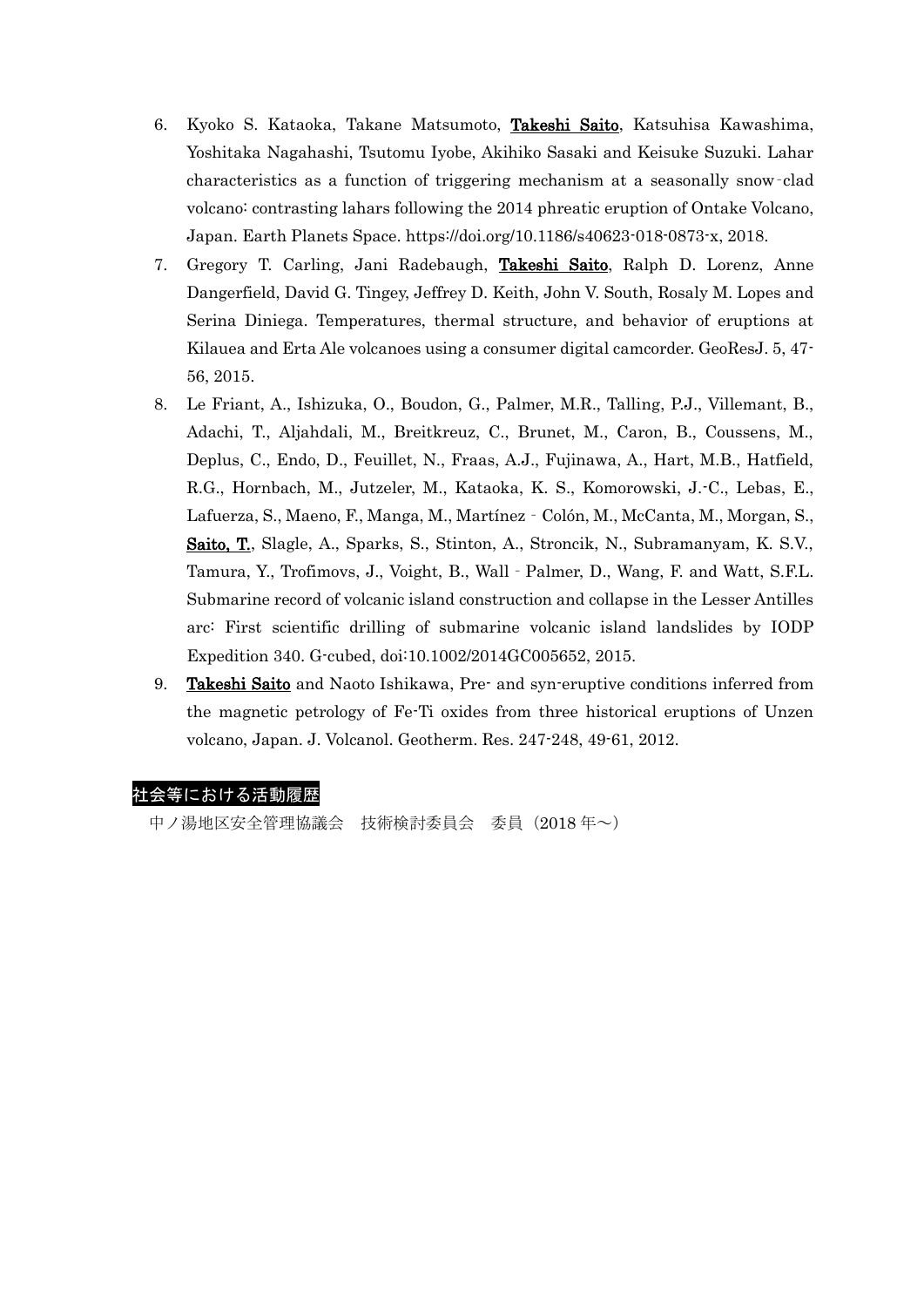- 6. Kyoko S. Kataoka, Takane Matsumoto, Takeshi Saito, Katsuhisa Kawashima, Yoshitaka Nagahashi, Tsutomu Iyobe, Akihiko Sasaki and Keisuke Suzuki. Lahar characteristics as a function of triggering mechanism at a seasonally snow‑clad volcano: contrasting lahars following the 2014 phreatic eruption of Ontake Volcano, Japan. Earth Planets Space. https://doi.org/10.1186/s40623-018-0873-x, 2018.
- 7. Gregory T. Carling, Jani Radebaugh, Takeshi Saito, Ralph D. Lorenz, Anne Dangerfield, David G. Tingey, Jeffrey D. Keith, John V. South, Rosaly M. Lopes and Serina Diniega. Temperatures, thermal structure, and behavior of eruptions at Kilauea and Erta Ale volcanoes using a consumer digital camcorder. GeoResJ. 5, 47- 56, 2015.
- 8. Le Friant, A., Ishizuka, O., Boudon, G., Palmer, M.R., Talling, P.J., Villemant, B., Adachi, T., Aljahdali, M., Breitkreuz, C., Brunet, M., Caron, B., Coussens, M., Deplus, C., Endo, D., Feuillet, N., Fraas, A.J., Fujinawa, A., Hart, M.B., Hatfield, R.G., Hornbach, M., Jutzeler, M., Kataoka, K. S., Komorowski, J.-C., Lebas, E., Lafuerza, S., Maeno, F., Manga, M., Martínez‐Colón, M., McCanta, M., Morgan, S., Saito, T., Slagle, A., Sparks, S., Stinton, A., Stroncik, N., Subramanyam, K. S.V., Tamura, Y., Trofimovs, J., Voight, B., Wall‐Palmer, D., Wang, F. and Watt, S.F.L. Submarine record of volcanic island construction and collapse in the Lesser Antilles arc: First scientific drilling of submarine volcanic island landslides by IODP Expedition 340. G-cubed, doi:10.1002/2014GC005652, 2015.
- 9. Takeshi Saito and Naoto Ishikawa, Pre- and syn-eruptive conditions inferred from the magnetic petrology of Fe-Ti oxides from three historical eruptions of Unzen volcano, Japan. J. Volcanol. Geotherm. Res. 247-248, 49-61, 2012.

#### 社会等における活動履歴

中ノ湯地区安全管理協議会 技術検討委員会 委員(2018 年~)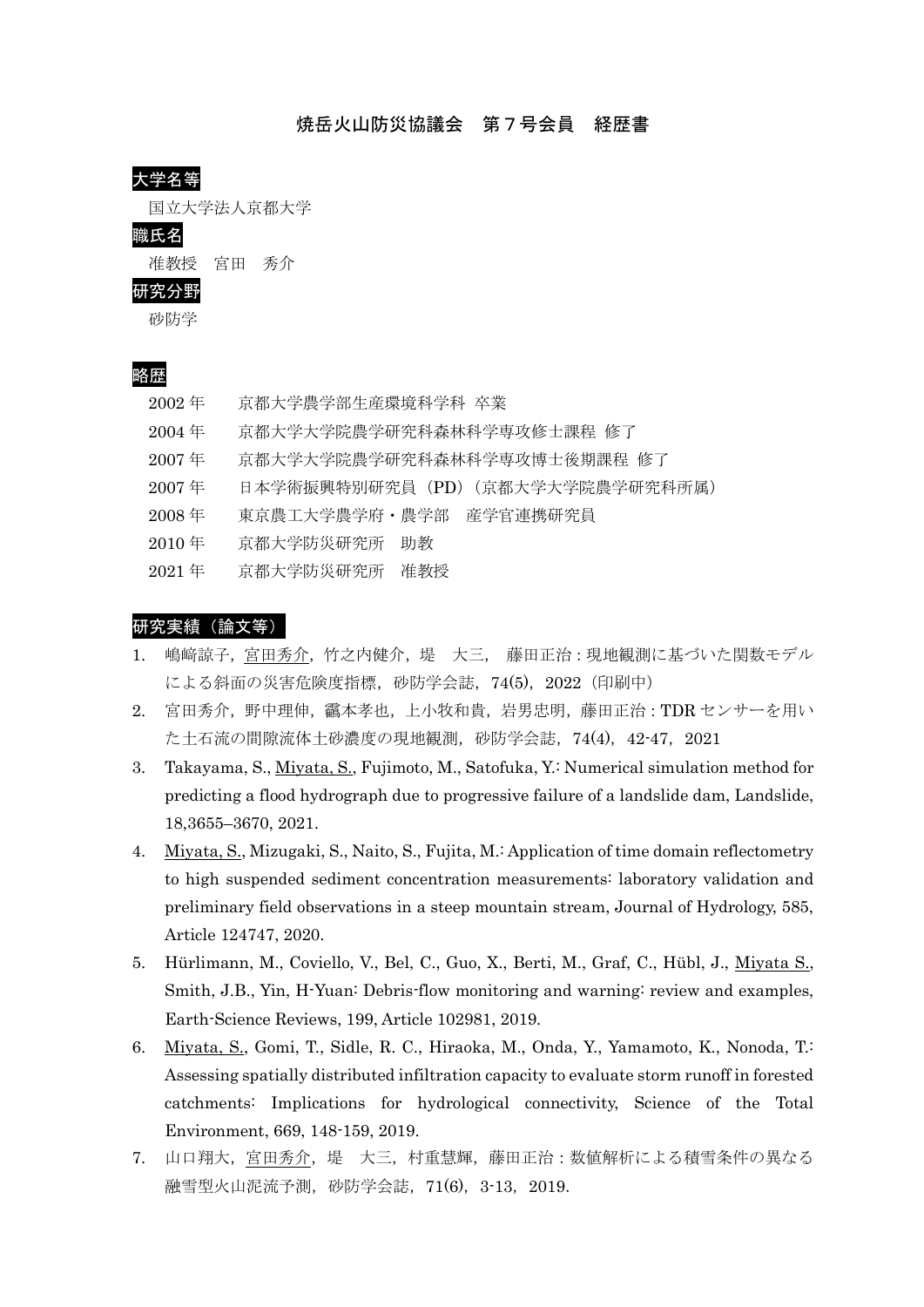# 焼岳火山防災協議会 第7号会員 経歴書

# 大学名等

国立大学法人京都大学

# 職氏名

准教授 宮田 秀介

#### 研究分野

砂防学

# 略歴

| $2002$ 年 | 京都大学農学部生産環境科学科 卒業               |
|----------|---------------------------------|
| $2004$ 年 | 京都大学大学院農学研究科森林科学専攻修士課程 修了       |
| $2007$ 年 | 京都大学大学院農学研究科森林科学専攻博士後期課程 修了     |
| $2007$ 年 | 日本学術振興特別研究員(PD)(京都大学大学院農学研究科所属) |
| $2008$ 年 | 東京農工大学農学府・農学部 産学官連携研究員          |
| 2010年    | 京都大学防災研究所 助教                    |
| 2021年    | 京都大学防災研究所<br>准教授                |

### 研究実績(論文等)

- 1. 嶋﨑諒子,宮田秀介,竹之内健介,堤 大三, 藤田正治:現地観測に基づいた関数モデル による斜面の災害危険度指標,砂防学会誌,74(5),2022(印刷中)
- 2. 宮田秀介,野中理伸,靏本孝也,上小牧和貴,岩男忠明,藤田正治:TDR センサーを用い た土石流の間隙流体土砂濃度の現地観測,砂防学会誌, 74(4), 42-47, 2021
- 3. Takayama, S., Miyata, S., Fujimoto, M., Satofuka, Y.: Numerical simulation method for predicting a flood hydrograph due to progressive failure of a landslide dam, Landslide, 18,3655–3670, 2021.
- 4. Miyata, S., Mizugaki, S., Naito, S., Fujita, M.: Application of time domain reflectometry to high suspended sediment concentration measurements: laboratory validation and preliminary field observations in a steep mountain stream, Journal of Hydrology, 585, Article 124747, 2020.
- 5. Hürlimann, M., Coviello, V., Bel, C., Guo, X., Berti, M., Graf, C., Hübl, J., Miyata S., Smith, J.B., Yin, H-Yuan: Debris-flow monitoring and warning: review and examples, Earth-Science Reviews, 199, Article 102981, 2019.
- 6. Miyata, S., Gomi, T., Sidle, R. C., Hiraoka, M., Onda, Y., Yamamoto, K., Nonoda, T.: Assessing spatially distributed infiltration capacity to evaluate storm runoff in forested catchments: Implications for hydrological connectivity, Science of the Total Environment, 669, 148-159, 2019.
- 7. 山口翔大,宮田秀介,堤 大三,村重慧輝,藤田正治:数値解析による積雪条件の異なる 融雪型火山泥流予測,砂防学会誌,71(6),3-13,2019.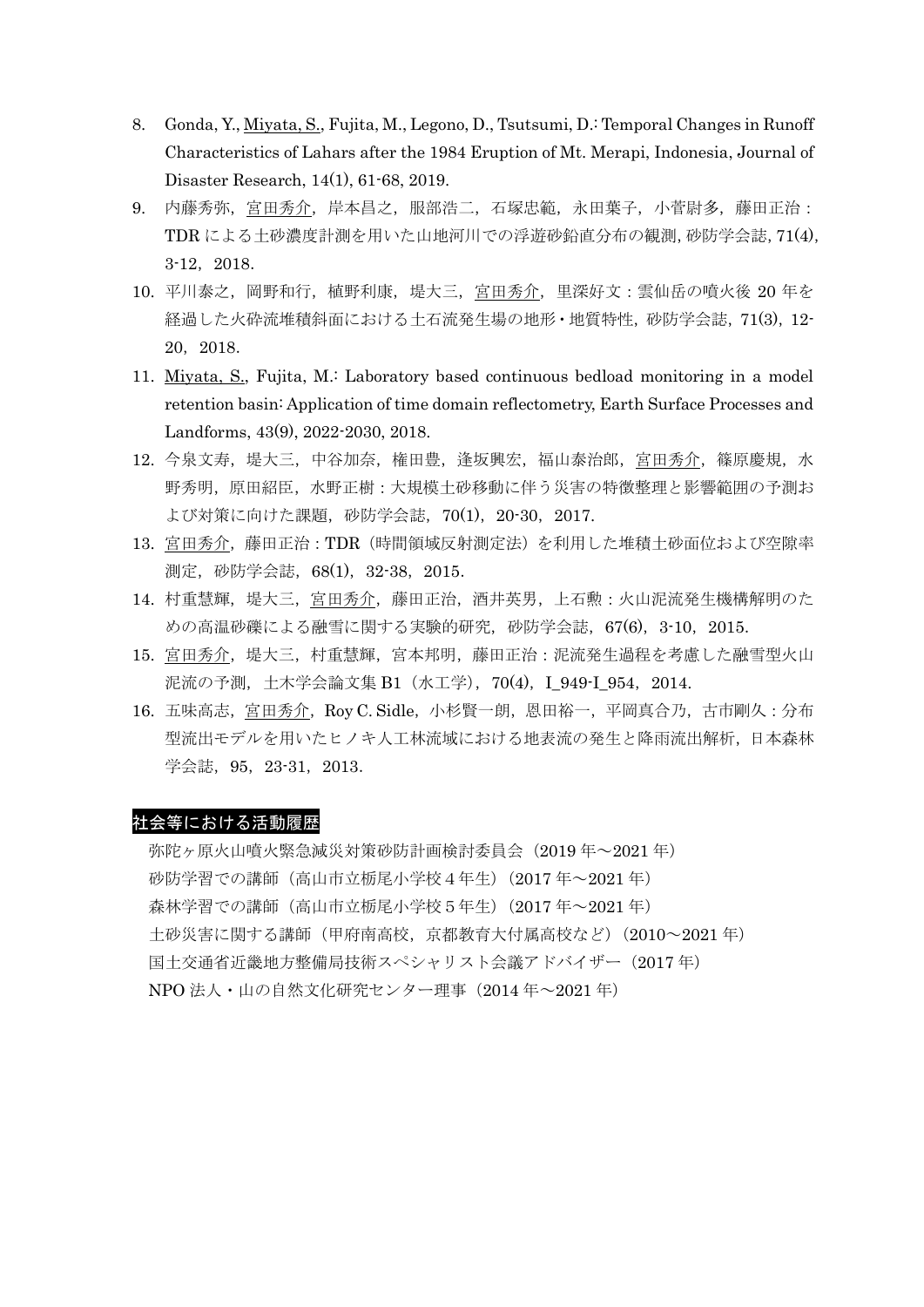- 8. Gonda, Y., Miyata, S., Fujita, M., Legono, D., Tsutsumi, D.: Temporal Changes in Runoff Characteristics of Lahars after the 1984 Eruption of Mt. Merapi, Indonesia, Journal of Disaster Research, 14(1), 61-68, 2019.
- 9. 内藤秀弥, 宫田秀介, 岸本昌之, 服部浩二, 石塚忠範, 永田葉子, 小菅尉多, 藤田正治: TDR による土砂濃度計測を用いた山地河川での浮遊砂鉛直分布の観測,砂防学会誌,71(4), 3-12,2018.
- 10. 平川泰之,岡野和行,植野利康,堤大三,宮田秀介,里深好文:雲仙岳の噴火後 20 年を 経過した火砕流堆積斜面における土石流発生場の地形・地質特性,砂防学会誌,71(3),12- 20,2018.
- 11. Miyata, S., Fujita, M.: Laboratory based continuous bedload monitoring in a model retention basin: Application of time domain reflectometry, Earth Surface Processes and Landforms, 43(9), 2022-2030, 2018.
- 12. 今泉文寿,堤大三,中谷加奈,権田豊,逢坂興宏,福山泰治郎,宮田秀介,篠原慶規,水 野秀明,原田紹臣,水野正樹:大規模土砂移動に伴う災害の特徴整理と影響範囲の予測お よび対策に向けた課題,砂防学会誌,70(1),20-30,2017.
- 13. 宮田秀介,藤田正治:TDR(時間領域反射測定法)を利用した堆積土砂面位および空隙率 測定,砂防学会誌,68(1),32-38,2015.
- 14. 村重慧輝,堤大三,宮田秀介,藤田正治,酒井英男,上石勲:火山泥流発生機構解明のた めの高温砂礫による融雪に関する実験的研究,砂防学会誌,67(6),3-10,2015.
- 15. 宮田秀介,堤大三,村重慧輝,宮本邦明,藤田正治:泥流発生過程を考慮した融雪型火山 泥流の予測,土木学会論文集 B1 (水工学), 70(4), I\_949-I\_954, 2014.
- 16. 五味高志, 宮田秀介, Roy C. Sidle, 小杉賢一朗, 恩田裕一, 平岡真合乃, 古市剛久: 分布 型流出モデルを用いたヒノキ人工林流域における地表流の発生と降雨流出解析,日本森林 学会誌, 95, 23-31, 2013.

### 社会等における活動履歴

弥陀ヶ原火山噴火緊急減災対策砂防計画検討委員会(2019 年~2021 年) 砂防学習での講師(高山市立栃尾小学校4年生)(2017 年~2021 年) 森林学習での講師(高山市立栃尾小学校5年生)(2017 年~2021 年) 土砂災害に関する講師(甲府南高校,京都教育大付属高校など)(2010~2021 年) 国土交通省近畿地方整備局技術スペシャリスト会議アドバイザー(2017 年) NPO 法人・山の自然文化研究センター理事 (2014年~2021年)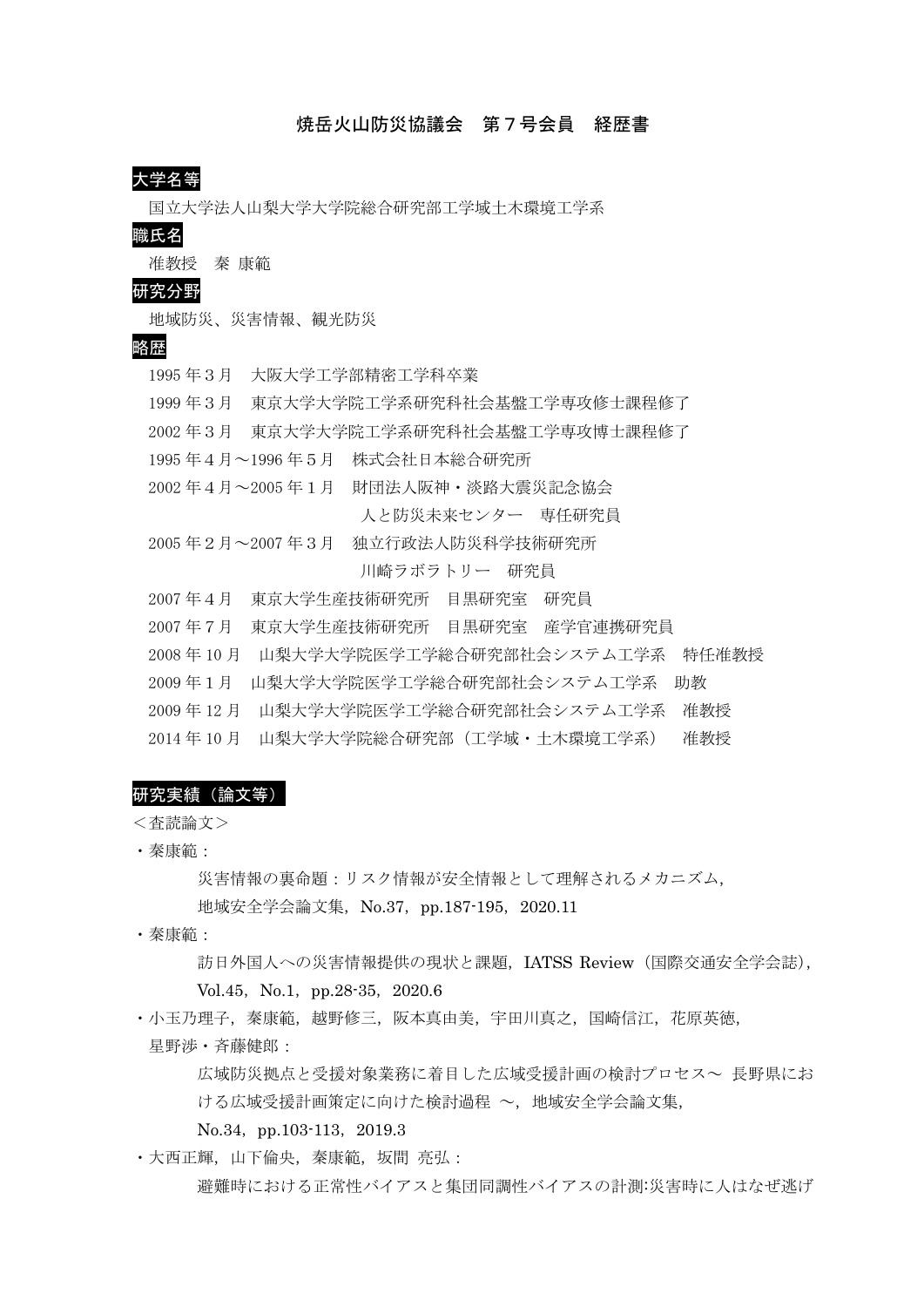### 焼岳火山防災協議会 第7号会員 経歴書

# 大学名等

国立大学法人山梨大学大学院総合研究部工学域土木環境工学系

### 職氏名

准教授 秦 康範

#### 研究分野

地域防災、災害情報、観光防災

### 略歴

 年3月 大阪大学工学部精密工学科卒業 年3月 東京大学大学院工学系研究科社会基盤工学専攻修士課程修了 年3月 東京大学大学院工学系研究科社会基盤工学専攻博士課程修了 年4月~1996 年5月 株式会社日本総合研究所 年4月~2005 年1月 財団法人阪神・淡路大震災記念協会 人と防災未来センター 専任研究員 年2月~2007 年3月 独立行政法人防災科学技術研究所 川崎ラボラトリー 研究員 年4月 東京大学生産技術研究所 目黒研究室 研究員 年7月 東京大学生産技術研究所 目黒研究室 産学官連携研究員 年 10 月 山梨大学大学院医学工学総合研究部社会システム工学系 特任准教授

- 
- 2009 年1月 山梨大学大学院医学工学総合研究部社会システム工学系 助教
- 2009 年 12 月 山梨大学大学院医学工学総合研究部社会システム工学系 准教授
- 2014 年 10 月 山梨大学大学院総合研究部(工学域・土木環境工学系) 准教授

#### 研究実績(論文等)

<査読論文>

・秦康範:

災害情報の裏命題:リスク情報が安全情報として理解されるメカニズム, 地域安全学会論文集,No.37,pp.187-195,2020.11

・秦康範:

訪日外国人への災害情報提供の現状と課題,IATSS Review(国際交通安全学会誌),

Vol.45, No.1, pp.28-35, 2020.6

- ・小玉乃理子,秦康範,越野修三,阪本真由美,宇田川真之,国崎信江,花原英徳,
	- 星野渉・斉藤健郎:

広域防災拠点と受援対象業務に着目した広域受援計画の検討プロセス~ 長野県にお ける広域受援計画策定に向けた検討過程 ~, 地域安全学会論文集,

No.34, pp.103-113, 2019.3

・大西正輝,山下倫央,秦康範,坂間 亮弘:

避難時における正常性バイアスと集団同調性バイアスの計測:災害時に人はなぜ逃げ